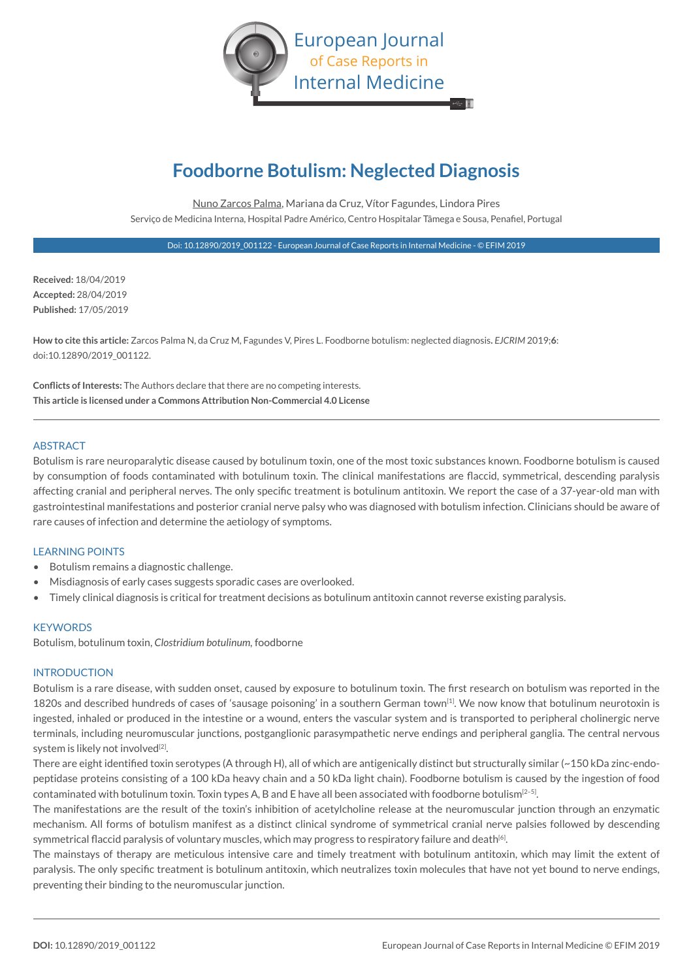

# **Foodborne Botulism: Neglected Diagnosis**

Nuno Zarcos Palma, Mariana da Cruz, Vítor Fagundes, Lindora Pires Serviço de Medicina Interna, Hospital Padre Américo, Centro Hospitalar Tâmega e Sousa, Penafiel, Portugal

Doi: 10.12890/2019\_001122 - European Journal of Case Reports in Internal Medicine - © EFIM 2019

**Received:** 18/04/2019 **Accepted:** 28/04/2019 **Published:** 17/05/2019

**How to cite this article:** Zarcos Palma N, da Cruz M, Fagundes V, Pires L. Foodborne botulism: neglected diagnosis**.** *EJCRIM* 2019;**6**: doi:10.12890/2019\_001122.

**Conflicts of Interests:** The Authors declare that there are no competing interests. **This article is licensed under a Commons Attribution Non-Commercial 4.0 License**

## **ABSTRACT**

Botulism is rare neuroparalytic disease caused by botulinum toxin, one of the most toxic substances known. Foodborne botulism is caused by consumption of foods contaminated with botulinum toxin. The clinical manifestations are flaccid, symmetrical, descending paralysis affecting cranial and peripheral nerves. The only specific treatment is botulinum antitoxin. We report the case of a 37-year-old man with gastrointestinal manifestations and posterior cranial nerve palsy who was diagnosed with botulism infection. Clinicians should be aware of rare causes of infection and determine the aetiology of symptoms.

#### LEARNING POINTS

- Botulism remains a diagnostic challenge.
- Misdiagnosis of early cases suggests sporadic cases are overlooked.
- Timely clinical diagnosis is critical for treatment decisions as botulinum antitoxin cannot reverse existing paralysis.

#### **KEYWORDS**

Botulism, botulinum toxin, *Clostridium botulinum,* foodborne

#### INTRODUCTION

Botulism is a rare disease, with sudden onset, caused by exposure to botulinum toxin. The first research on botulism was reported in the 1820s and described hundreds of cases of 'sausage poisoning' in a southern German town[1]. We now know that botulinum neurotoxin is ingested, inhaled or produced in the intestine or a wound, enters the vascular system and is transported to peripheral cholinergic nerve terminals, including neuromuscular junctions, postganglionic parasympathetic nerve endings and peripheral ganglia. The central nervous system is likely not involved<sup>[2]</sup>.

There are eight identified toxin serotypes (A through H), all of which are antigenically distinct but structurally similar (~150 kDa zinc-endopeptidase proteins consisting of a 100 kDa heavy chain and a 50 kDa light chain). Foodborne botulism is caused by the ingestion of food contaminated with botulinum toxin. Toxin types A, B and E have all been associated with foodborne botulism<sup>[2-5]</sup>.

The manifestations are the result of the toxin's inhibition of acetylcholine release at the neuromuscular junction through an enzymatic mechanism. All forms of botulism manifest as a distinct clinical syndrome of symmetrical cranial nerve palsies followed by descending symmetrical flaccid paralysis of voluntary muscles, which may progress to respiratory failure and death<sup>[6]</sup>.

The mainstays of therapy are meticulous intensive care and timely treatment with botulinum antitoxin, which may limit the extent of paralysis. The only specific treatment is botulinum antitoxin, which neutralizes toxin molecules that have not yet bound to nerve endings, preventing their binding to the neuromuscular junction.